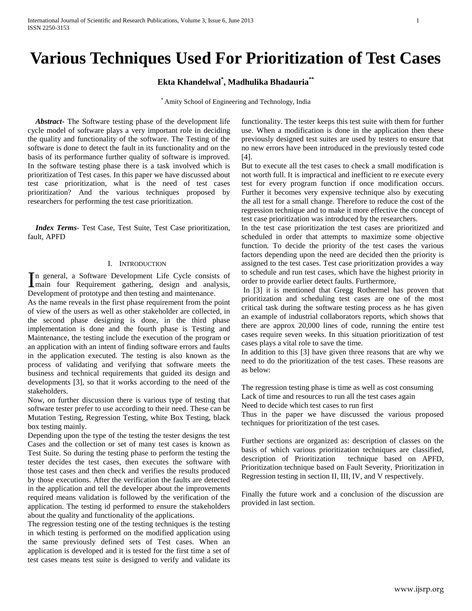# **Various Techniques Used For Prioritization of Test Cases**

**Ekta Khandelwal\* , Madhulika Bhadauria\*\***

\* Amity School of Engineering and Technology, India

 *Abstract***-** The Software testing phase of the development life cycle model of software plays a very important role in deciding the quality and functionality of the software. The Testing of the software is done to detect the fault in its functionality and on the basis of its performance further quality of software is improved. In the software testing phase there is a task involved which is prioritization of Test cases. In this paper we have discussed about test case prioritization, what is the need of test cases prioritization? And the various techniques proposed by researchers for performing the test case prioritization.

 *Index Terms*- Test Case, Test Suite, Test Case prioritization, fault, APFD

### I. INTRODUCTION

n general, a Software Development Life Cycle consists of In general, a Software Development Life Cycle consists of main four Requirement gathering, design and analysis, Development of prototype and then testing and maintenance.

As the name reveals in the first phase requirement from the point of view of the users as well as other stakeholder are collected, in the second phase designing is done, in the third phase implementation is done and the fourth phase is Testing and Maintenance, the testing include the execution of the program or an application with an intent of finding software errors and faults in the application executed. The testing is also known as the process of validating and verifying that software meets the business and technical requirements that guided its design and developments [3], so that it works according to the need of the stakeholders.

Now, on further discussion there is various type of testing that software tester prefer to use according to their need. These can be Mutation Testing, Regression Testing, white Box Testing, black box testing mainly.

Depending upon the type of the testing the tester designs the test Cases and the collection or set of many test cases is known as Test Suite. So during the testing phase to perform the testing the tester decides the test cases, then executes the software with those test cases and then check and verifies the results produced by those executions. After the verification the faults are detected in the application and tell the developer about the improvements required means validation is followed by the verification of the application. The testing id performed to ensure the stakeholders about the quality and functionality of the applications.

The regression testing one of the testing techniques is the testing in which testing is performed on the modified application using the same previously defined sets of Test cases. When an application is developed and it is tested for the first time a set of test cases means test suite is designed to verify and validate its

functionality. The tester keeps this test suite with them for further use. When a modification is done in the application then these previously designed test suites are used by testers to ensure that no new errors have been introduced in the previously tested code [4].

But to execute all the test cases to check a small modification is not worth full. It is impractical and inefficient to re execute every test for every program function if once modification occurs. Further it becomes very expensive technique also by executing the all test for a small change. Therefore to reduce the cost of the regression technique and to make it more effective the concept of test case prioritization was introduced by the researchers.

In the test case prioritization the test cases are prioritized and scheduled in order that attempts to maximize some objective function. To decide the priority of the test cases the various factors depending upon the need are decided then the priority is assigned to the test cases. Test case prioritization provides a way to schedule and run test cases, which have the highest priority in order to provide earlier detect faults. Furthermore,

In [3] it is mentioned that Gregg Rothermel has proven that prioritization and scheduling test cases are one of the most critical task during the software testing process as he has given an example of industrial collaborators reports, which shows that there are approx 20,000 lines of code, running the entire test cases require seven weeks. In this situation prioritization of test cases plays a vital role to save the time.

In addition to this [3] have given three reasons that are why we need to do the prioritization of the test cases. These reasons are as below:

The regression testing phase is time as well as cost consuming Lack of time and resources to run all the test cases again

Need to decide which test cases to run first

Thus in the paper we have discussed the various proposed techniques for prioritization of the test cases.

Further sections are organized as: description of classes on the basis of which various prioritization techniques are classified, description of Prioritization technique based on APFD, Prioritization technique based on Fault Severity, Prioritization in Regression testing in section II, III, IV, and V respectively.

Finally the future work and a conclusion of the discussion are provided in last section.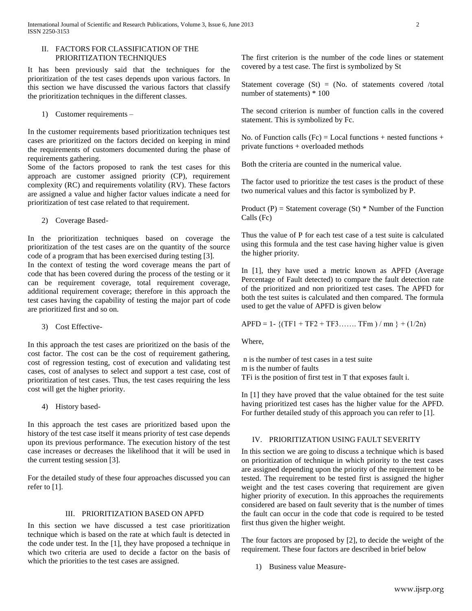## II. FACTORS FOR CLASSIFICATION OF THE PRIORITIZATION TECHNIQUES

It has been previously said that the techniques for the prioritization of the test cases depends upon various factors. In this section we have discussed the various factors that classify the prioritization techniques in the different classes.

1) Customer requirements –

In the customer requirements based prioritization techniques test cases are prioritized on the factors decided on keeping in mind the requirements of customers documented during the phase of requirements gathering.

Some of the factors proposed to rank the test cases for this approach are customer assigned priority (CP), requirement complexity (RC) and requirements volatility (RV). These factors are assigned a value and higher factor values indicate a need for prioritization of test case related to that requirement.

2) Coverage Based-

In the prioritization techniques based on coverage the prioritization of the test cases are on the quantity of the source code of a program that has been exercised during testing [3].

In the context of testing the word coverage means the part of code that has been covered during the process of the testing or it can be requirement coverage, total requirement coverage, additional requirement coverage; therefore in this approach the test cases having the capability of testing the major part of code are prioritized first and so on.

3) Cost Effective-

In this approach the test cases are prioritized on the basis of the cost factor. The cost can be the cost of requirement gathering, cost of regression testing, cost of execution and validating test cases, cost of analyses to select and support a test case, cost of prioritization of test cases. Thus, the test cases requiring the less cost will get the higher priority.

4) History based-

In this approach the test cases are prioritized based upon the history of the test case itself it means priority of test case depends upon its previous performance. The execution history of the test case increases or decreases the likelihood that it will be used in the current testing session [3].

For the detailed study of these four approaches discussed you can refer to  $[1]$ .

# III. PRIORITIZATION BASED ON APFD

In this section we have discussed a test case prioritization technique which is based on the rate at which fault is detected in the code under test. In the [1], they have proposed a technique in which two criteria are used to decide a factor on the basis of which the priorities to the test cases are assigned.

The first criterion is the number of the code lines or statement covered by a test case. The first is symbolized by St

Statement coverage  $(St) = (No. of statements covered /total)$ number of statements) \* 100

The second criterion is number of function calls in the covered statement. This is symbolized by Fc.

No. of Function calls  $(Fc) = Local$  functions + nested functions + private functions + overloaded methods

Both the criteria are counted in the numerical value.

The factor used to prioritize the test cases is the product of these two numerical values and this factor is symbolized by P.

Product (P) = Statement coverage (St)  $*$  Number of the Function Calls (Fc)

Thus the value of P for each test case of a test suite is calculated using this formula and the test case having higher value is given the higher priority.

In [1], they have used a metric known as APFD (Average Percentage of Fault detected) to compare the fault detection rate of the prioritized and non prioritized test cases. The APFD for both the test suites is calculated and then compared. The formula used to get the value of APFD is given below

APFD = 1- ${(TF1 + TF2 + TF3......$  TFm  $)/$  mn  $} + (1/2n)$ 

Where,

n is the number of test cases in a test suite m is the number of faults TFi is the position of first test in T that exposes fault i.

In [1] they have proved that the value obtained for the test suite having prioritized test cases has the higher value for the APFD. For further detailed study of this approach you can refer to [1].

# IV. PRIORITIZATION USING FAULT SEVERITY

In this section we are going to discuss a technique which is based on prioritization of technique in which priority to the test cases are assigned depending upon the priority of the requirement to be tested. The requirement to be tested first is assigned the higher weight and the test cases covering that requirement are given higher priority of execution. In this approaches the requirements considered are based on fault severity that is the number of times the fault can occur in the code that code is required to be tested first thus given the higher weight.

The four factors are proposed by [2], to decide the weight of the requirement. These four factors are described in brief below

1) Business value Measure-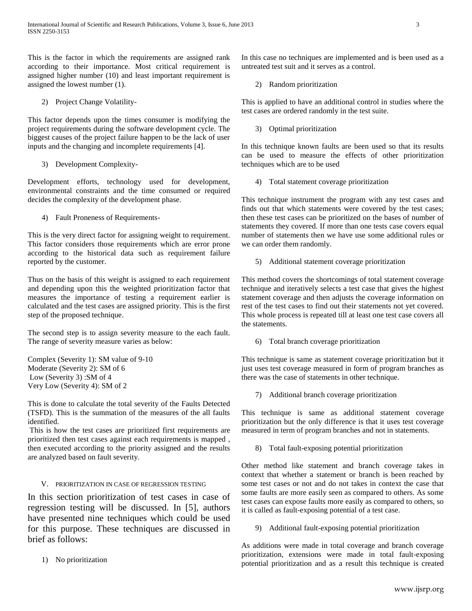This is the factor in which the requirements are assigned rank according to their importance. Most critical requirement is assigned higher number (10) and least important requirement is assigned the lowest number (1).

2) Project Change Volatility-

This factor depends upon the times consumer is modifying the project requirements during the software development cycle. The biggest causes of the project failure happen to be the lack of user inputs and the changing and incomplete requirements [4].

3) Development Complexity-

Development efforts, technology used for development, environmental constraints and the time consumed or required decides the complexity of the development phase.

4) Fault Proneness of Requirements-

This is the very direct factor for assigning weight to requirement. This factor considers those requirements which are error prone according to the historical data such as requirement failure reported by the customer.

Thus on the basis of this weight is assigned to each requirement and depending upon this the weighted prioritization factor that measures the importance of testing a requirement earlier is calculated and the test cases are assigned priority. This is the first step of the proposed technique.

The second step is to assign severity measure to the each fault. The range of severity measure varies as below:

Complex (Severity 1): SM value of 9-10 Moderate (Severity 2): SM of 6 Low (Severity 3) :SM of 4 Very Low (Severity 4): SM of 2

This is done to calculate the total severity of the Faults Detected (TSFD). This is the summation of the measures of the all faults identified.

This is how the test cases are prioritized first requirements are prioritized then test cases against each requirements is mapped , then executed according to the priority assigned and the results are analyzed based on fault severity.

# V. PRIORITIZATION IN CASE OF REGRESSION TESTING

In this section prioritization of test cases in case of regression testing will be discussed. In [5], authors have presented nine techniques which could be used for this purpose. These techniques are discussed in brief as follows:

1) No prioritization

In this case no techniques are implemented and is been used as a untreated test suit and it serves as a control.

2) Random prioritization

This is applied to have an additional control in studies where the test cases are ordered randomly in the test suite.

3) Optimal prioritization

In this technique known faults are been used so that its results can be used to measure the effects of other prioritization techniques which are to be used

4) Total statement coverage prioritization

This technique instrument the program with any test cases and finds out that which statements were covered by the test cases; then these test cases can be prioritized on the bases of number of statements they covered. If more than one tests case covers equal number of statements then we have use some additional rules or we can order them randomly.

5) Additional statement coverage prioritization

This method covers the shortcomings of total statement coverage technique and iteratively selects a test case that gives the highest statement coverage and then adjusts the coverage information on rest of the test cases to find out their statements not yet covered. This whole process is repeated till at least one test case covers all the statements.

6) Total branch coverage prioritization

This technique is same as statement coverage prioritization but it just uses test coverage measured in form of program branches as there was the case of statements in other technique.

7) Additional branch coverage prioritization

This technique is same as additional statement coverage prioritization but the only difference is that it uses test coverage measured in term of program branches and not in statements.

8) Total fault-exposing potential prioritization

Other method like statement and branch coverage takes in context that whether a statement or branch is been reached by some test cases or not and do not takes in context the case that some faults are more easily seen as compared to others. As some test cases can expose faults more easily as compared to others, so it is called as fault-exposing potential of a test case.

9) Additional fault-exposing potential prioritization

As additions were made in total coverage and branch coverage prioritization, extensions were made in total fault-exposing potential prioritization and as a result this technique is created